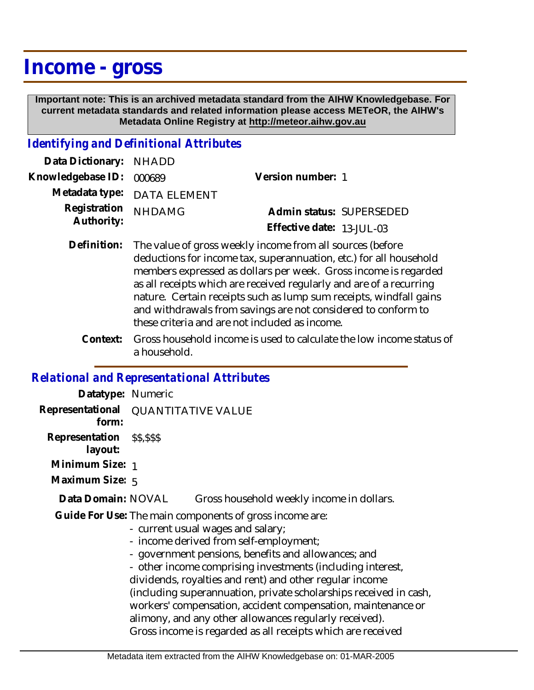## **Income - gross**

 **Important note: This is an archived metadata standard from the AIHW Knowledgebase. For current metadata standards and related information please access METeOR, the AIHW's Metadata Online Registry at http://meteor.aihw.gov.au**

## *Identifying and Definitional Attributes*

| Data Dictionary: NHADD            |                             |                              |  |
|-----------------------------------|-----------------------------|------------------------------|--|
| Knowledgebase ID: 000689          |                             | Version number: 1            |  |
|                                   | Metadata type: DATA ELEMENT |                              |  |
| Registration NHDAMG<br>Authority: |                             | Admin status: SUPERSEDED     |  |
|                                   |                             | Effective date: $13$ -JUI-03 |  |

- Definition: The value of gross weekly income from all sources (before deductions for income tax, superannuation, etc.) for all household members expressed as dollars per week. Gross income is regarded as all receipts which are received regularly and are of a recurring nature. Certain receipts such as lump sum receipts, windfall gains and withdrawals from savings are not considered to conform to these criteria and are not included as income.
	- Gross household income is used to calculate the low income status of a household. **Context:**

## *Relational and Representational Attributes*

| Datatype: Numeric                            |                                                                                                                                                                                                                                                                                                                                                                                                                                                                                                                                                                                      |                                           |  |
|----------------------------------------------|--------------------------------------------------------------------------------------------------------------------------------------------------------------------------------------------------------------------------------------------------------------------------------------------------------------------------------------------------------------------------------------------------------------------------------------------------------------------------------------------------------------------------------------------------------------------------------------|-------------------------------------------|--|
| Representational QUANTITATIVE VALUE<br>form: |                                                                                                                                                                                                                                                                                                                                                                                                                                                                                                                                                                                      |                                           |  |
| Representation \$\$,\$\$\$<br>layout:        |                                                                                                                                                                                                                                                                                                                                                                                                                                                                                                                                                                                      |                                           |  |
| Minimum Size: 1                              |                                                                                                                                                                                                                                                                                                                                                                                                                                                                                                                                                                                      |                                           |  |
| Maximum Size: 5                              |                                                                                                                                                                                                                                                                                                                                                                                                                                                                                                                                                                                      |                                           |  |
| Data Domain: NOVAL                           |                                                                                                                                                                                                                                                                                                                                                                                                                                                                                                                                                                                      | Gross household weekly income in dollars. |  |
|                                              | Guide For Use: The main components of gross income are:<br>- current usual wages and salary;<br>- income derived from self-employment;<br>- government pensions, benefits and allowances; and<br>- other income comprising investments (including interest,<br>dividends, royalties and rent) and other regular income<br>(including superannuation, private scholarships received in cash,<br>workers' compensation, accident compensation, maintenance or<br>alimony, and any other allowances regularly received).<br>Gross income is regarded as all receipts which are received |                                           |  |